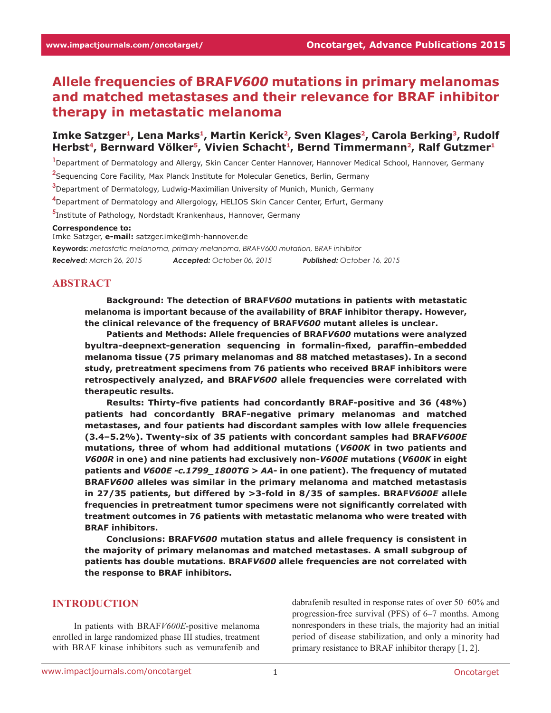# **Allele frequencies of BRAF***V600* **mutations in primary melanomas and matched metastases and their relevance for BRAF inhibitor therapy in metastatic melanoma**

### Imke Satzger<sup>1</sup>, Lena Marks<sup>1</sup>, Martin Kerick<sup>2</sup>, Sven Klages<sup>2</sup>, Carola Berking<sup>3</sup>, Rudolf Herbst<sup>4</sup>, Bernward Völker<sup>5</sup>, Vivien Schacht<sup>1</sup>, Bernd Timmermann<sup>2</sup>, Ralf Gutzmer<sup>1</sup>

**1** Department of Dermatology and Allergy, Skin Cancer Center Hannover, Hannover Medical School, Hannover, Germany

**2** Sequencing Core Facility, Max Planck Institute for Molecular Genetics, Berlin, Germany

**3** Department of Dermatology, Ludwig-Maximilian University of Munich, Munich, Germany

**4** Department of Dermatology and Allergology, HELIOS Skin Cancer Center, Erfurt, Germany

**5** Institute of Pathology, Nordstadt Krankenhaus, Hannover, Germany

#### **Correspondence to:**

Imke Satzger, **e-mail:** satzger.imke@mh-hannover.de **Keywords:** *metastatic melanoma, primary melanoma, BRAFV600 mutation, BRAF inhibitor Received: March 26, 2015 Accepted: October 06, 2015 Published: October 16, 2015*

#### **ABSTRACT**

**Background: The detection of BRAF***V600* **mutations in patients with metastatic melanoma is important because of the availability of BRAF inhibitor therapy. However, the clinical relevance of the frequency of BRAF***V600* **mutant alleles is unclear.**

**Patients and Methods: Allele frequencies of BRAF***V600* **mutations were analyzed byultra-deepnext-generation sequencing in formalin-fixed, paraffin-embedded melanoma tissue (75 primary melanomas and 88 matched metastases). In a second study, pretreatment specimens from 76 patients who received BRAF inhibitors were retrospectively analyzed, and BRAF***V600* **allele frequencies were correlated with therapeutic results.**

**Results: Thirty-five patients had concordantly BRAF-positive and 36 (48%) patients had concordantly BRAF-negative primary melanomas and matched metastases, and four patients had discordant samples with low allele frequencies (3.4–5.2%). Twenty-six of 35 patients with concordant samples had BRAF***V600E* **mutations, three of whom had additional mutations (***V600K* **in two patients and**  *V600R* **in one) and nine patients had exclusively non-***V600E* **mutations (***V600K* **in eight patients and** *V600E -c.1799\_1800TG > AA-* **in one patient). The frequency of mutated BRAF***V600* **alleles was similar in the primary melanoma and matched metastasis in 27/35 patients, but differed by >3-fold in 8/35 of samples. BRAF***V600E* **allele frequencies in pretreatment tumor specimens were not significantly correlated with treatment outcomes in 76 patients with metastatic melanoma who were treated with BRAF inhibitors.**

**Conclusions: BRAF***V600* **mutation status and allele frequency is consistent in the majority of primary melanomas and matched metastases. A small subgroup of patients has double mutations. BRAF***V600* **allele frequencies are not correlated with the response to BRAF inhibitors.**

### **INTRODUCTION**

In patients with BRAF*V600E*-positive melanoma enrolled in large randomized phase III studies, treatment with BRAF kinase inhibitors such as vemurafenib and

dabrafenib resulted in response rates of over 50–60% and progression-free survival (PFS) of 6–7 months. Among nonresponders in these trials, the majority had an initial period of disease stabilization, and only a minority had primary resistance to BRAF inhibitor therapy [1, 2].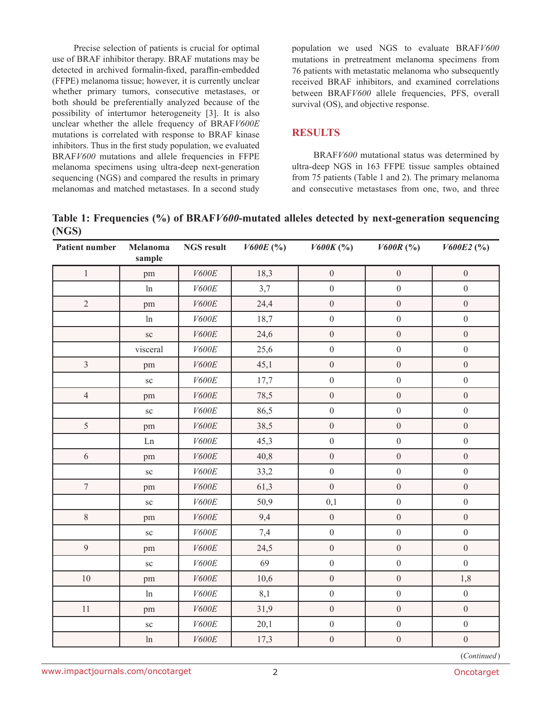Precise selection of patients is crucial for optimal use of BRAF inhibitor therapy. BRAF mutations may be detected in archived formalin-fixed, paraffin-embedded (FFPE) melanoma tissue; however, it is currently unclear whether primary tumors, consecutive metastases, or both should be preferentially analyzed because of the possibility of intertumor heterogeneity [3]. It is also unclear whether the allele frequency of BRAF*V600E* mutations is correlated with response to BRAF kinase inhibitors. Thus in the first study population, we evaluated BRAF*V600* mutations and allele frequencies in FFPE melanoma specimens using ultra-deep next-generation sequencing (NGS) and compared the results in primary melanomas and matched metastases. In a second study

population we used NGS to evaluate BRAF*V600* mutations in pretreatment melanoma specimens from 76 patients with metastatic melanoma who subsequently received BRAF inhibitors, and examined correlations between BRAF*V600* allele frequencies, PFS, overall survival (OS), and objective response.

### **RESULTS**

BRAF*V600* mutational status was determined by ultra-deep NGS in 163 FFPE tissue samples obtained from 75 patients (Table 1 and 2). The primary melanoma and consecutive metastases from one, two, and three

**Table 1: Frequencies (%) of BRAF***V600***-mutated alleles detected by next-generation sequencing (NGS)**

| Patient number | <b>Melanoma</b><br>sample | <b>NGS result</b> | V600E(%) | $V600K$ (%)      | $V600R~(^{o}$ <sub>0</sub> ) | V600E2(%)        |
|----------------|---------------------------|-------------------|----------|------------------|------------------------------|------------------|
| $\,1$          | pm                        | V600E             | 18,3     | $\boldsymbol{0}$ | $\boldsymbol{0}$             | $\boldsymbol{0}$ |
|                | ln                        | V600E             | 3,7      | $\mathbf{0}$     | $\boldsymbol{0}$             | $\mathbf{0}$     |
| $\sqrt{2}$     | pm                        | $V600E$           | 24,4     | $\boldsymbol{0}$ | $\boldsymbol{0}$             | $\boldsymbol{0}$ |
|                | ln                        | $V600E$           | 18,7     | $\overline{0}$   | $\boldsymbol{0}$             | $\boldsymbol{0}$ |
|                | $\rm{sc}$                 | $V600E$           | 24,6     | $\boldsymbol{0}$ | $\boldsymbol{0}$             | $\boldsymbol{0}$ |
|                | visceral                  | $V600E$           | 25,6     | $\boldsymbol{0}$ | $\boldsymbol{0}$             | $\boldsymbol{0}$ |
| $\overline{3}$ | pm                        | V600E             | 45,1     | $\boldsymbol{0}$ | $\boldsymbol{0}$             | $\boldsymbol{0}$ |
|                | ${\rm sc}$                | $V600E$           | 17,7     | $\boldsymbol{0}$ | $\boldsymbol{0}$             | $\boldsymbol{0}$ |
| $\overline{4}$ | pm                        | V600E             | 78,5     | $\overline{0}$   | $\boldsymbol{0}$             | $\boldsymbol{0}$ |
|                | ${\rm sc}$                | $V600E$           | 86,5     | $\boldsymbol{0}$ | $\boldsymbol{0}$             | $\boldsymbol{0}$ |
| 5              | pm                        | $V600E$           | 38,5     | $\boldsymbol{0}$ | $\boldsymbol{0}$             | $\boldsymbol{0}$ |
|                | Ln                        | $V600E$           | 45,3     | $\boldsymbol{0}$ | $\boldsymbol{0}$             | $\boldsymbol{0}$ |
| $\sqrt{6}$     | pm                        | V600E             | 40,8     | $\boldsymbol{0}$ | $\boldsymbol{0}$             | $\boldsymbol{0}$ |
|                | $\rm{sc}$                 | $V600E$           | 33,2     | $\boldsymbol{0}$ | $\boldsymbol{0}$             | $\boldsymbol{0}$ |
| $\overline{7}$ | pm                        | $V600E$           | 61,3     | $\boldsymbol{0}$ | $\boldsymbol{0}$             | $\boldsymbol{0}$ |
|                | ${\rm sc}$                | $V600E$           | 50,9     | 0,1              | $\boldsymbol{0}$             | $\boldsymbol{0}$ |
| $8\,$          | pm                        | V600E             | 9,4      | $\boldsymbol{0}$ | $\boldsymbol{0}$             | $\boldsymbol{0}$ |
|                | $\rm{sc}$                 | $V600E$           | 7,4      | $\overline{0}$   | $\mathbf{0}$                 | $\boldsymbol{0}$ |
| $\overline{9}$ | pm                        | $V600E$           | 24,5     | $\boldsymbol{0}$ | $\boldsymbol{0}$             | $\boldsymbol{0}$ |
|                | ${\rm sc}$                | $V600E$           | 69       | $\boldsymbol{0}$ | $\boldsymbol{0}$             | $\mathbf{0}$     |
| $10\,$         | pm                        | $V600E$           | 10,6     | $\boldsymbol{0}$ | $\boldsymbol{0}$             | 1,8              |
|                | ln                        | $V600E$           | 8,1      | $\boldsymbol{0}$ | $\boldsymbol{0}$             | $\boldsymbol{0}$ |
| $11\,$         | pm                        | $V600E$           | 31,9     | $\boldsymbol{0}$ | $\boldsymbol{0}$             | $\boldsymbol{0}$ |
|                | ${\rm sc}$                | $V600E$           | 20,1     | $\boldsymbol{0}$ | $\boldsymbol{0}$             | $\boldsymbol{0}$ |
|                | ln                        | V600E             | 17,3     | $\boldsymbol{0}$ | $\boldsymbol{0}$             | $\boldsymbol{0}$ |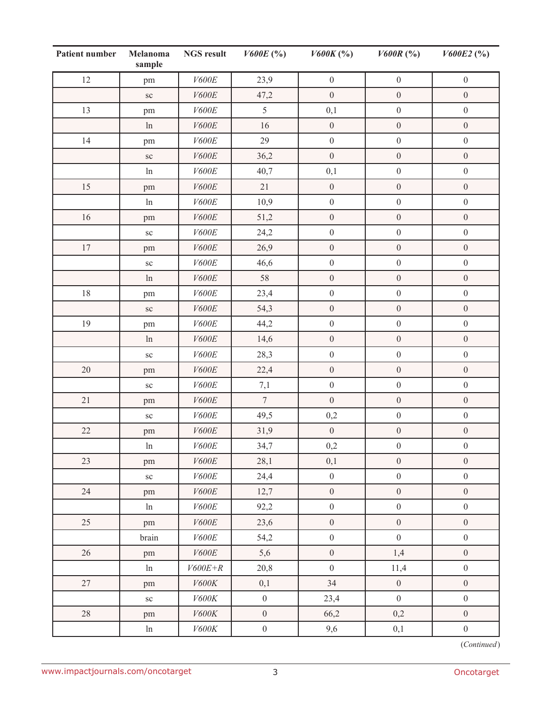| Patient number | <b>Melanoma</b><br>sample | <b>NGS result</b> | V600E(%)         | $V600K$ (%)      | $V600R~(^{9}_{0})$ | V600E2(%)        |
|----------------|---------------------------|-------------------|------------------|------------------|--------------------|------------------|
| 12             | pm                        | $V600E$           | 23,9             | $\boldsymbol{0}$ | $\boldsymbol{0}$   | $\boldsymbol{0}$ |
|                | ${\rm sc}$                | $V600E$           | 47,2             | $\boldsymbol{0}$ | $\boldsymbol{0}$   | $\boldsymbol{0}$ |
| 13             | pm                        | V600E             | 5                | 0,1              | $\boldsymbol{0}$   | $\boldsymbol{0}$ |
|                | $\ln$                     | $V600E$           | 16               | $\boldsymbol{0}$ | $\boldsymbol{0}$   | $\boldsymbol{0}$ |
| 14             | pm                        | $V600E$           | 29               | $\boldsymbol{0}$ | $\boldsymbol{0}$   | $\boldsymbol{0}$ |
|                | ${\rm sc}$                | V600E             | 36,2             | $\boldsymbol{0}$ | $\boldsymbol{0}$   | $\boldsymbol{0}$ |
|                | ln                        | $V600E$           | 40,7             | 0,1              | $\boldsymbol{0}$   | $\boldsymbol{0}$ |
| 15             | pm                        | V600E             | 21               | $\boldsymbol{0}$ | $\boldsymbol{0}$   | $\boldsymbol{0}$ |
|                | $\ln$                     | $V600E$           | 10,9             | $\boldsymbol{0}$ | $\boldsymbol{0}$   | $\boldsymbol{0}$ |
| $16\,$         | pm                        | $V600E$           | 51,2             | $\boldsymbol{0}$ | $\boldsymbol{0}$   | $\boldsymbol{0}$ |
|                | $\rm{sc}$                 | $V600E$           | 24,2             | $\boldsymbol{0}$ | $\boldsymbol{0}$   | $\boldsymbol{0}$ |
| $17\,$         | pm                        | $V600E$           | 26,9             | $\boldsymbol{0}$ | $\boldsymbol{0}$   | $\boldsymbol{0}$ |
|                | ${\rm sc}$                | V600E             | 46,6             | $\boldsymbol{0}$ | $\boldsymbol{0}$   | $\boldsymbol{0}$ |
|                | ln                        | $V600E$           | 58               | $\boldsymbol{0}$ | $\boldsymbol{0}$   | $\boldsymbol{0}$ |
| $18\,$         | pm                        | $V600E$           | 23,4             | $\boldsymbol{0}$ | $\boldsymbol{0}$   | $\boldsymbol{0}$ |
|                | $\rm{sc}$                 | $V600E$           | 54,3             | $\boldsymbol{0}$ | $\boldsymbol{0}$   | $\boldsymbol{0}$ |
| 19             | pm                        | $V600E$           | 44,2             | $\boldsymbol{0}$ | $\boldsymbol{0}$   | $\boldsymbol{0}$ |
|                | ln                        | V600E             | 14,6             | $\boldsymbol{0}$ | $\boldsymbol{0}$   | $\boldsymbol{0}$ |
|                | ${\rm sc}$                | $V600E$           | 28,3             | $\boldsymbol{0}$ | $\boldsymbol{0}$   | $\boldsymbol{0}$ |
| $20\,$         | pm                        | $V600E$           | 22,4             | $\boldsymbol{0}$ | $\boldsymbol{0}$   | $\boldsymbol{0}$ |
|                | $\rm{sc}$                 | $V600E$           | 7,1              | $\boldsymbol{0}$ | $\boldsymbol{0}$   | $\boldsymbol{0}$ |
| $21\,$         | pm                        | $V600E$           | $7\phantom{.}$   | $\boldsymbol{0}$ | $\boldsymbol{0}$   | $\boldsymbol{0}$ |
|                | $\rm{sc}$                 | V600E             | 49,5             | 0,2              | $\boldsymbol{0}$   | $\boldsymbol{0}$ |
| $22\,$         | pm                        | $V600E$           | 31,9             | $\boldsymbol{0}$ | $\boldsymbol{0}$   | $\boldsymbol{0}$ |
|                | ln                        | V600E             | 34,7             | $\rm 0,2$        | $\boldsymbol{0}$   | $\boldsymbol{0}$ |
| 23             | pm                        | $V600E$           | 28,1             | 0,1              | $\boldsymbol{0}$   | $\boldsymbol{0}$ |
|                | ${\rm sc}$                | $V600E$           | 24,4             | $\boldsymbol{0}$ | $\boldsymbol{0}$   | $\boldsymbol{0}$ |
| 24             | pm                        | $V600E$           | 12,7             | $\boldsymbol{0}$ | $\boldsymbol{0}$   | $\boldsymbol{0}$ |
|                | ln                        | V600E             | 92,2             | $\boldsymbol{0}$ | $\boldsymbol{0}$   | $\boldsymbol{0}$ |
| 25             | pm                        | $V600E$           | 23,6             | $\boldsymbol{0}$ | $\boldsymbol{0}$   | $\boldsymbol{0}$ |
|                | brain                     | V600E             | 54,2             | $\boldsymbol{0}$ | $\boldsymbol{0}$   | $\boldsymbol{0}$ |
| 26             | pm                        | $V600E$           | 5,6              | $\boldsymbol{0}$ | 1,4                | $\mathbf{0}$     |
|                | ln                        | $V600E+R$         | 20,8             | $\boldsymbol{0}$ | 11,4               | $\boldsymbol{0}$ |
| 27             | pm                        | $V600K$           | 0,1              | 34               | $\boldsymbol{0}$   | $\boldsymbol{0}$ |
|                | ${\rm sc}$                | $V600K$           | $\boldsymbol{0}$ | 23,4             | $\boldsymbol{0}$   | $\boldsymbol{0}$ |
| $28\,$         | pm                        | $V600K$           | $\boldsymbol{0}$ | 66,2             | 0,2                | $\boldsymbol{0}$ |
|                | ln                        | $V600K$           | $\boldsymbol{0}$ | $9,6$            | 0,1                | $\boldsymbol{0}$ |

(*Continued*)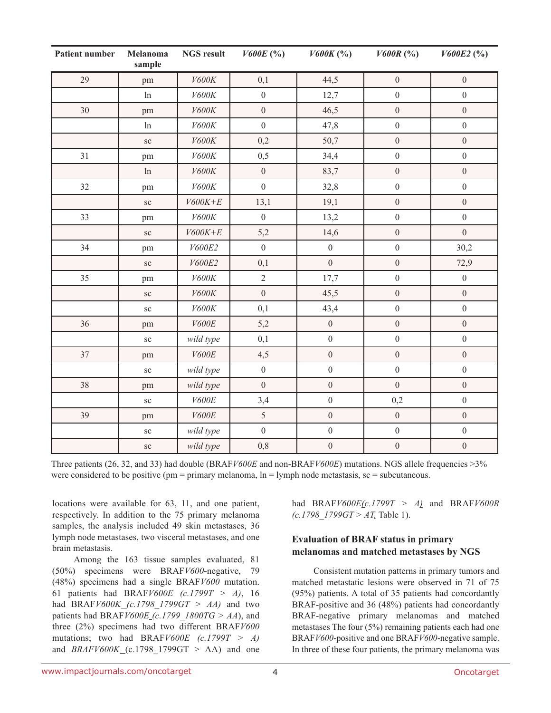| Patient number | Melanoma<br>sample | <b>NGS</b> result | V600E(%)         | $V600K$ (%)      | $V600R~(^{o}/_{o})$ | V600E2(%)        |
|----------------|--------------------|-------------------|------------------|------------------|---------------------|------------------|
| 29             | pm                 | $V600K$           | 0,1              | 44,5             | $\boldsymbol{0}$    | $\boldsymbol{0}$ |
|                | ln                 | V600K             | $\boldsymbol{0}$ | 12,7             | $\boldsymbol{0}$    | $\mathbf{0}$     |
| $30\,$         | pm                 | $V600K$           | $\boldsymbol{0}$ | 46,5             | $\boldsymbol{0}$    | $\boldsymbol{0}$ |
|                | ln                 | $V600K$           | $\boldsymbol{0}$ | 47,8             | $\boldsymbol{0}$    | $\boldsymbol{0}$ |
|                | $\rm{sc}$          | V600K             | 0,2              | 50,7             | $\boldsymbol{0}$    | $\boldsymbol{0}$ |
| 31             | pm                 | $V600K$           | 0, 5             | 34,4             | $\boldsymbol{0}$    | $\boldsymbol{0}$ |
|                | ln                 | V600K             | $\mathbf{0}$     | 83,7             | $\boldsymbol{0}$    | $\boldsymbol{0}$ |
| 32             | pm                 | $V600K$           | $\boldsymbol{0}$ | 32,8             | $\boldsymbol{0}$    | $\boldsymbol{0}$ |
|                | $\rm{sc}$          | $V600K+E$         | 13,1             | 19,1             | $\boldsymbol{0}$    | $\boldsymbol{0}$ |
| 33             | pm                 | $V600K$           | $\boldsymbol{0}$ | 13,2             | $\boldsymbol{0}$    | $\boldsymbol{0}$ |
|                | SC                 | $V600K+E$         | 5,2              | 14,6             | $\boldsymbol{0}$    | $\boldsymbol{0}$ |
| 34             | pm                 | V600E2            | $\boldsymbol{0}$ | $\boldsymbol{0}$ | $\boldsymbol{0}$    | 30,2             |
|                | $\rm{sc}$          | V600E2            | 0,1              | $\boldsymbol{0}$ | $\boldsymbol{0}$    | 72,9             |
| 35             | pm                 | V600K             | $\sqrt{2}$       | 17,7             | $\boldsymbol{0}$    | $\boldsymbol{0}$ |
|                | SC                 | V600K             | $\overline{0}$   | 45,5             | $\boldsymbol{0}$    | $\overline{0}$   |
|                | $\rm{sc}$          | $V600K$           | 0,1              | 43,4             | $\boldsymbol{0}$    | $\boldsymbol{0}$ |
| 36             | pm                 | V600E             | 5,2              | $\boldsymbol{0}$ | $\boldsymbol{0}$    | $\boldsymbol{0}$ |
|                | $\rm{sc}$          | wild type         | 0,1              | $\boldsymbol{0}$ | $\boldsymbol{0}$    | $\boldsymbol{0}$ |
| 37             | pm                 | V600E             | 4,5              | $\boldsymbol{0}$ | $\boldsymbol{0}$    | $\boldsymbol{0}$ |
|                | $\rm{sc}$          | wild type         | $\boldsymbol{0}$ | $\boldsymbol{0}$ | $\boldsymbol{0}$    | $\boldsymbol{0}$ |
| 38             | pm                 | wild type         | $\boldsymbol{0}$ | $\boldsymbol{0}$ | $\boldsymbol{0}$    | $\boldsymbol{0}$ |
|                | ${\rm sc}$         | V600E             | 3,4              | $\boldsymbol{0}$ | 0,2                 | $\boldsymbol{0}$ |
| 39             | pm                 | V600E             | 5                | $\boldsymbol{0}$ | $\boldsymbol{0}$    | $\boldsymbol{0}$ |
|                | $\rm{sc}$          | wild type         | $\boldsymbol{0}$ | $\boldsymbol{0}$ | $\boldsymbol{0}$    | $\boldsymbol{0}$ |
|                | ${\rm sc}$         | wild type         | 0,8              | $\boldsymbol{0}$ | $\boldsymbol{0}$    | $\boldsymbol{0}$ |

Three patients (26, 32, and 33) had double (BRAF*V600E* and non-BRAF*V600E*) mutations. NGS allele frequencies >3% were considered to be positive ( $pm =$  primary melanoma,  $\ln =$  lymph node metastasis, sc = subcutaneous.

locations were available for 63, 11, and one patient, respectively. In addition to the 75 primary melanoma samples, the analysis included 49 skin metastases, 36 lymph node metastases, two visceral metastases, and one brain metastasis.

Among the 163 tissue samples evaluated, 81 (50%) specimens were BRAF*V600*-negative, 79 (48%) specimens had a single BRAF*V600* mutation. 61 patients had BRAF*V600E (c.1799T > A)*, 16 had BRAF*V600K (c.1798\_1799GT > AA)* and two patients had BRAF*V600E (c.1799\_1800TG > AA*), and three (2%) specimens had two different BRAF*V600* mutations; two had BRAF*V600E (c.1799T > A)* and  $BRAFV600K_{\text{C}}(c.1798\ 1799GT > AA)$  and one had BRAF*V600E(c.1799T > A)* and BRAF*V600R (c.1798\_1799GT > AT,* Table 1).

### **Evaluation of BRAF status in primary melanomas and matched metastases by NGS**

Consistent mutation patterns in primary tumors and matched metastatic lesions were observed in 71 of 75 (95%) patients. A total of 35 patients had concordantly BRAF-positive and 36 (48%) patients had concordantly BRAF-negative primary melanomas and matched metastases The four (5%) remaining patients each had one BRAF*V600*-positive and one BRAF*V600*-negative sample. In three of these four patients, the primary melanoma was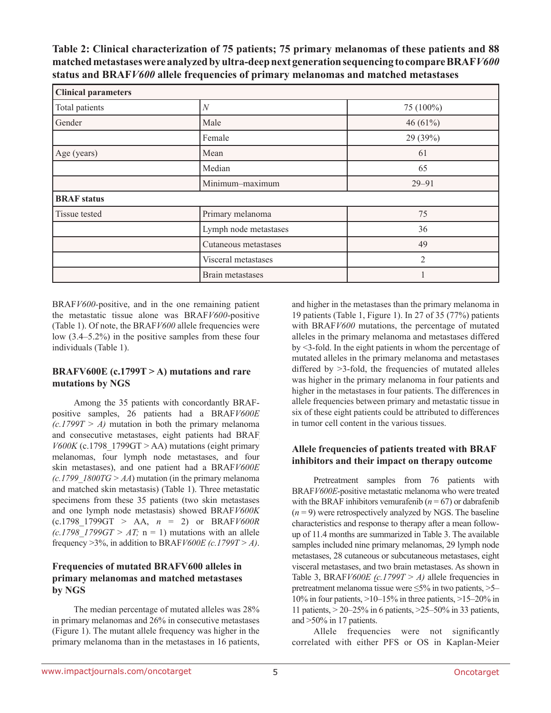**Table 2: Clinical characterization of 75 patients; 75 primary melanomas of these patients and 88 matched metastases were analyzed by ultra-deep next generation sequencing to compare BRAF***V600* **status and BRAF***V600* **allele frequencies of primary melanomas and matched metastases**

| <b>Clinical parameters</b> |                       |            |  |  |  |
|----------------------------|-----------------------|------------|--|--|--|
| Total patients             | $\overline{N}$        | 75 (100%)  |  |  |  |
| Gender                     | Male                  | 46 $(61%)$ |  |  |  |
|                            | Female                | 29 (39%)   |  |  |  |
| Age (years)                | Mean                  | 61         |  |  |  |
|                            | Median                | 65         |  |  |  |
|                            | Minimum-maximum       | $29 - 91$  |  |  |  |
| <b>BRAF</b> status         |                       |            |  |  |  |
| Tissue tested              | Primary melanoma      | 75         |  |  |  |
|                            | Lymph node metastases | 36         |  |  |  |
|                            | Cutaneous metastases  | 49         |  |  |  |
|                            | Visceral metastases   | 2          |  |  |  |
|                            | Brain metastases      |            |  |  |  |

BRAF*V600-*positive, and in the one remaining patient the metastatic tissue alone was BRAF*V600*-positive (Table 1). Of note, the BRAF*V600* allele frequencies were low (3.4–5.2%) in the positive samples from these four individuals (Table 1).

### **BRAFV600E (c.1799T > A) mutations and rare mutations by NGS**

Among the 35 patients with concordantly BRAFpositive samples, 26 patients had a BRAF*V600E*   $(c.1799T > A)$  mutation in both the primary melanoma and consecutive metastases, eight patients had BRAF  $V600K$  (c.1798–1799GT > AA) mutations (eight primary melanomas, four lymph node metastases, and four skin metastases), and one patient had a BRAF*V600E*   $(c.1799 \text{ } 1800 \text{TG} > AA)$  mutation (in the primary melanoma and matched skin metastasis) (Table 1). Three metastatic specimens from these 35 patients (two skin metastases and one lymph node metastasis) showed BRAF*V600K* (c.1798\_1799GT > AA, *n* = 2) or BRAF*V600R*   $(c.1798$  1799GT > AT; n = 1) mutations with an allele frequency >3%, in addition to BRAF*V600E (c.1799T > A)*.

### **Frequencies of mutated BRAFV600 alleles in primary melanomas and matched metastases by NGS**

The median percentage of mutated alleles was 28% in primary melanomas and 26% in consecutive metastases (Figure 1). The mutant allele frequency was higher in the primary melanoma than in the metastases in 16 patients, and higher in the metastases than the primary melanoma in 19 patients (Table 1, Figure 1). In 27 of 35 (77%) patients with BRAF*V600* mutations, the percentage of mutated alleles in the primary melanoma and metastases differed by <3-fold. In the eight patients in whom the percentage of mutated alleles in the primary melanoma and metastases differed by  $>3$ -fold, the frequencies of mutated alleles was higher in the primary melanoma in four patients and higher in the metastases in four patients. The differences in allele frequencies between primary and metastatic tissue in six of these eight patients could be attributed to differences in tumor cell content in the various tissues.

### **Allele frequencies of patients treated with BRAF inhibitors and their impact on therapy outcome**

Pretreatment samples from 76 patients with BRAF*V600E*-positive metastatic melanoma who were treated with the BRAF inhibitors vemurafenib ( $n = 67$ ) or dabrafenib  $(n=9)$  were retrospectively analyzed by NGS. The baseline characteristics and response to therapy after a mean followup of 11.4 months are summarized in Table 3. The available samples included nine primary melanomas, 29 lymph node metastases, 28 cutaneous or subcutaneous metastases, eight visceral metastases, and two brain metastases. As shown in Table 3, BRAF*V600E (c.1799T > A)* allele frequencies in pretreatment melanoma tissue were ≤5% in two patients, >5– 10% in four patients, >10–15% in three patients, >15–20% in 11 patients, > 20–25% in 6 patients, >25–50% in 33 patients, and >50% in 17 patients.

Allele frequencies were not significantly correlated with either PFS or OS in Kaplan-Meier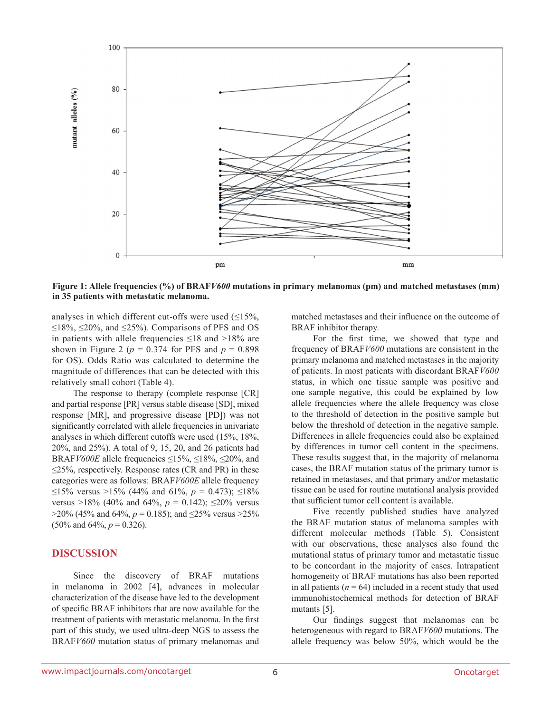

**Figure 1: Allele frequencies (%) of BRAF***V600* **mutations in primary melanomas (pm) and matched metastases (mm) in 35 patients with metastatic melanoma.** 

analyses in which different cut-offs were used  $(≤15%,$ ≤18%, ≤20%, and ≤25%). Comparisons of PFS and OS in patients with allele frequencies  $\leq 18$  and  $>18\%$  are shown in Figure 2 ( $p = 0.374$  for PFS and  $p = 0.898$ for OS). Odds Ratio was calculated to determine the magnitude of differences that can be detected with this relatively small cohort (Table 4).

The response to therapy (complete response [CR] and partial response [PR] versus stable disease [SD], mixed response [MR], and progressive disease [PD]) was not significantly correlated with allele frequencies in univariate analyses in which different cutoffs were used (15%, 18%, 20%, and 25%). A total of 9, 15, 20, and 26 patients had BRAF*V600E* allele frequencies  $\leq$ 15%,  $\leq$ 18%,  $\leq$ 20%, and  $\leq$ 25%, respectively. Response rates (CR and PR) in these categories were as follows: BRAF*V600E* allele frequency ≤15% versus >15% (44% and 61%,  $p = 0.473$ ); ≤18% versus >18% (40% and 64%,  $p = 0.142$ );  $\leq 20\%$  versus  $>$ 20% (45% and 64%, *p* = 0.185); and  $\leq$ 25% versus  $>$ 25%  $(50\% \text{ and } 64\%, p = 0.326).$ 

### **DISCUSSION**

Since the discovery of BRAF mutations in melanoma in 2002 [4], advances in molecular characterization of the disease have led to the development of specific BRAF inhibitors that are now available for the treatment of patients with metastatic melanoma. In the first part of this study, we used ultra-deep NGS to assess the BRAF*V600* mutation status of primary melanomas and matched metastases and their influence on the outcome of BRAF inhibitor therapy.

For the first time, we showed that type and frequency of BRAF*V600* mutations are consistent in the primary melanoma and matched metastases in the majority of patients. In most patients with discordant BRAF*V600* status, in which one tissue sample was positive and one sample negative, this could be explained by low allele frequencies where the allele frequency was close to the threshold of detection in the positive sample but below the threshold of detection in the negative sample. Differences in allele frequencies could also be explained by differences in tumor cell content in the specimens. These results suggest that, in the majority of melanoma cases, the BRAF mutation status of the primary tumor is retained in metastases, and that primary and/or metastatic tissue can be used for routine mutational analysis provided that sufficient tumor cell content is available.

Five recently published studies have analyzed the BRAF mutation status of melanoma samples with different molecular methods (Table 5). Consistent with our observations, these analyses also found the mutational status of primary tumor and metastatic tissue to be concordant in the majority of cases. Intrapatient homogeneity of BRAF mutations has also been reported in all patients  $(n = 64)$  included in a recent study that used immunohistochemical methods for detection of BRAF mutants [5].

Our findings suggest that melanomas can be heterogeneous with regard to BRAF*V600* mutations. The allele frequency was below 50%, which would be the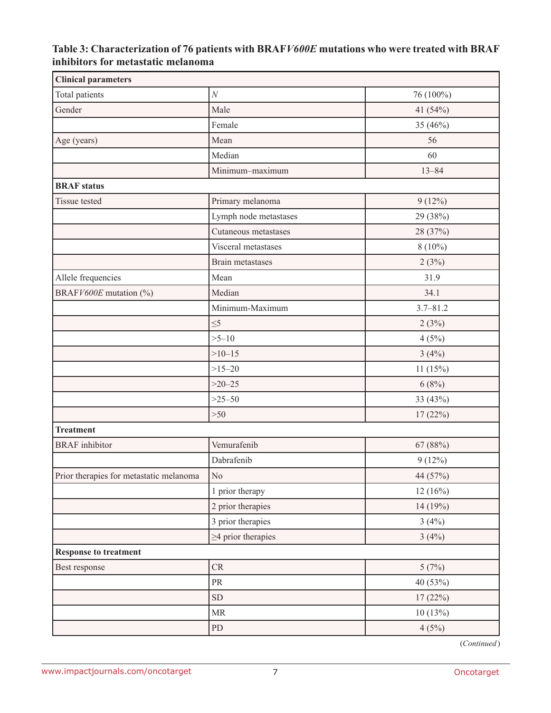## **Table 3: Characterization of 76 patients with BRAF***V600E* **mutations who were treated with BRAF inhibitors for metastatic melanoma**

| <b>Clinical parameters</b>              |                                   |              |
|-----------------------------------------|-----------------------------------|--------------|
| Total patients                          | $\cal N$                          | 76 (100%)    |
| Gender                                  | Male                              | 41 (54%)     |
|                                         | Female                            | 35 (46%)     |
| Age (years)                             | Mean                              | 56           |
|                                         | Median                            | 60           |
|                                         | Minimum-maximum                   | $13 - 84$    |
| <b>BRAF</b> status                      |                                   |              |
| Tissue tested                           | Primary melanoma                  | $9(12\%)$    |
|                                         | Lymph node metastases             | 29 (38%)     |
|                                         | Cutaneous metastases              | 28 (37%)     |
|                                         | Visceral metastases               | $8(10\%)$    |
|                                         | Brain metastases                  | 2(3%)        |
| Allele frequencies                      | Mean                              | 31.9         |
| BRAFV600E mutation (%)                  | Median                            | 34.1         |
|                                         | Minimum-Maximum                   | $3.7 - 81.2$ |
|                                         | $\leq 5$                          | 2(3%)        |
|                                         | $>5 - 10$                         | 4(5%)        |
|                                         | $>10-15$                          | 3(4%)        |
|                                         | $>15 - 20$                        | 11(15%)      |
|                                         | $>20 - 25$                        | 6(8%)        |
|                                         | $>25 - 50$                        | 33 (43%)     |
|                                         | $>50$                             | 17(22%)      |
| <b>Treatment</b>                        |                                   |              |
| <b>BRAF</b> inhibitor                   | Vemurafenib                       | 67 (88%)     |
|                                         | Dabrafenib                        | $9(12\%)$    |
| Prior therapies for metastatic melanoma | No                                | 44 (57%)     |
|                                         | 1 prior therapy                   | 12(16%)      |
|                                         | 2 prior therapies                 | 14 (19%)     |
|                                         | 3 prior therapies                 | 3(4%)        |
|                                         | $\geq$ 4 prior therapies          | 3(4%)        |
| <b>Response to treatment</b>            |                                   |              |
| Best response                           | ${\cal CR}$                       | 5(7%)        |
|                                         | $\ensuremath{\mathsf{PR}}\xspace$ | 40 (53%)     |
|                                         | ${\rm SD}$                        | 17(22%)      |
|                                         | $\ensuremath{\mathsf{MR}}\xspace$ | 10(13%)      |
|                                         | ${\rm PD}$                        | 4(5%)        |

(*Continued*)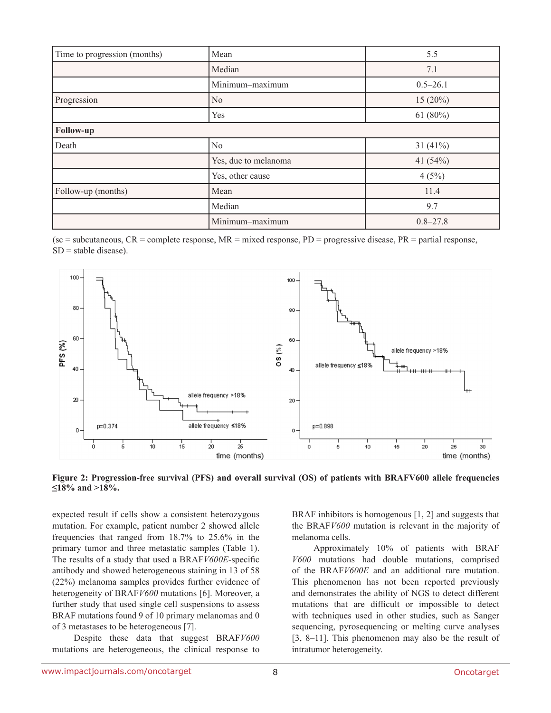| Time to progression (months) | Mean                 | 5.5          |
|------------------------------|----------------------|--------------|
|                              | Median               | 7.1          |
|                              | Minimum-maximum      | $0.5 - 26.1$ |
| Progression                  | N <sub>0</sub>       | $15(20\%)$   |
|                              | Yes                  | 61 $(80\%)$  |
| Follow-up                    |                      |              |
| Death                        | N <sub>0</sub>       | 31 $(41%)$   |
|                              | Yes, due to melanoma | 41 $(54%)$   |
|                              | Yes, other cause     | 4(5%)        |
| Follow-up (months)           | Mean                 | 11.4         |
|                              | Median               | 9.7          |
|                              | Minimum-maximum      | $0.8 - 27.8$ |

(sc = subcutaneous,  $CR$  = complete response,  $MR$  = mixed response, PD = progressive disease, PR = partial response,  $SD =$  stable disease).





expected result if cells show a consistent heterozygous mutation. For example, patient number 2 showed allele frequencies that ranged from 18.7% to 25.6% in the primary tumor and three metastatic samples (Table 1). The results of a study that used a BRAF*V600E*-specific antibody and showed heterogeneous staining in 13 of 58 (22%) melanoma samples provides further evidence of heterogeneity of BRAF*V600* mutations [6]. Moreover, a further study that used single cell suspensions to assess BRAF mutations found 9 of 10 primary melanomas and 0 of 3 metastases to be heterogeneous [7].

Despite these data that suggest BRAF*V600* mutations are heterogeneous, the clinical response to BRAF inhibitors is homogenous [1, 2] and suggests that the BRAF*V600* mutation is relevant in the majority of melanoma cells.

Approximately 10% of patients with BRAF *V600* mutations had double mutations, comprised of the BRAF*V600E* and an additional rare mutation. This phenomenon has not been reported previously and demonstrates the ability of NGS to detect different mutations that are difficult or impossible to detect with techniques used in other studies, such as Sanger sequencing, pyrosequencing or melting curve analyses [3, 8–11]. This phenomenon may also be the result of intratumor heterogeneity.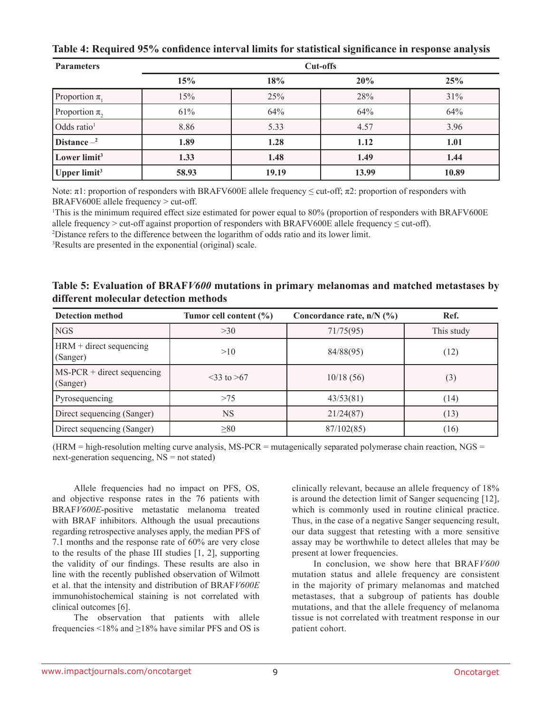| <b>Parameters</b>        | <b>Cut-offs</b> |       |       |       |  |
|--------------------------|-----------------|-------|-------|-------|--|
|                          | 15%             | 18%   | 20%   | 25%   |  |
| Proportion $\pi$ ,       | 15%             | 25%   | 28%   | 31%   |  |
| Proportion $\pi$ ,       | 61%             | 64%   | 64%   | 64%   |  |
| Odds ratio <sup>1</sup>  | 8.86            | 5.33  | 4.57  | 3.96  |  |
| Distance $-2$            | 1.89            | 1.28  | 1.12  | 1.01  |  |
| Lower limit <sup>3</sup> | 1.33            | 1.48  | 1.49  | 1.44  |  |
| Upper limit <sup>3</sup> | 58.93           | 19.19 | 13.99 | 10.89 |  |

Note: π1: proportion of responders with BRAFV600E allele frequency ≤ cut-off; π2: proportion of responders with BRAFV600E allele frequency > cut-off.

1 This is the minimum required effect size estimated for power equal to 80% (proportion of responders with BRAFV600E allele frequency > cut-off against proportion of responders with BRAFV600E allele frequency  $\leq$  cut-off).

2 Distance refers to the difference between the logarithm of odds ratio and its lower limit.

3 Results are presented in the exponential (original) scale.

**Table 5: Evaluation of BRAF***V600* **mutations in primary melanomas and matched metastases by different molecular detection methods**

| <b>Detection method</b>                  | Tumor cell content $(\% )$ | Concordance rate, $n/N$ (%) | Ref.       |
|------------------------------------------|----------------------------|-----------------------------|------------|
| <b>NGS</b>                               | >30                        | 71/75(95)                   | This study |
| $HRM + direct\ sequencing$<br>(Sanger)   | >10                        | 84/88(95)                   | (12)       |
| $MS-PCR + direct sequencing$<br>(Sanger) | $33$ to $>67$              | 10/18(56)                   | (3)        |
| Pyrosequencing                           | >75                        | 43/53(81)                   | (14)       |
| Direct sequencing (Sanger)               | <b>NS</b>                  | 21/24(87)                   | (13)       |
| Direct sequencing (Sanger)               | $\geq 80$                  | 87/102(85)                  | (16)       |

 $(HRM = high-resolution melting curve analysis, MS-PCR = mutagenically separated polymerase chain reaction, NGS =$ next-generation sequencing, NS = not stated)

Allele frequencies had no impact on PFS, OS, and objective response rates in the 76 patients with BRAF*V600E*-positive metastatic melanoma treated with BRAF inhibitors. Although the usual precautions regarding retrospective analyses apply, the median PFS of 7.1 months and the response rate of 60% are very close to the results of the phase III studies [1, 2], supporting the validity of our findings. These results are also in line with the recently published observation of Wilmott et al. that the intensity and distribution of BRAF*V600E* immunohistochemical staining is not correlated with clinical outcomes [6].

The observation that patients with allele frequencies <18% and  $\geq$ 18% have similar PFS and OS is clinically relevant, because an allele frequency of 18% is around the detection limit of Sanger sequencing [12], which is commonly used in routine clinical practice. Thus, in the case of a negative Sanger sequencing result, our data suggest that retesting with a more sensitive assay may be worthwhile to detect alleles that may be present at lower frequencies.

In conclusion, we show here that BRAF*V600* mutation status and allele frequency are consistent in the majority of primary melanomas and matched metastases, that a subgroup of patients has double mutations, and that the allele frequency of melanoma tissue is not correlated with treatment response in our patient cohort.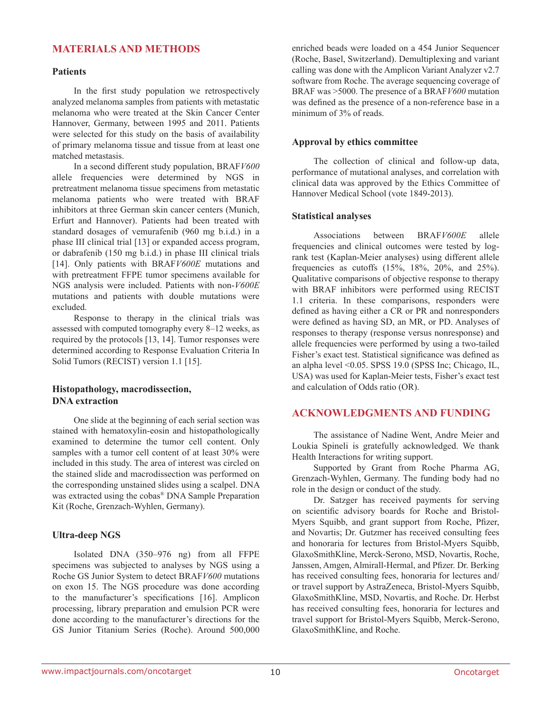### **MATERIALS AND METHODS**

#### **Patients**

In the first study population we retrospectively analyzed melanoma samples from patients with metastatic melanoma who were treated at the Skin Cancer Center Hannover, Germany, between 1995 and 2011. Patients were selected for this study on the basis of availability of primary melanoma tissue and tissue from at least one matched metastasis.

In a second different study population, BRAF*V600* allele frequencies were determined by NGS in pretreatment melanoma tissue specimens from metastatic melanoma patients who were treated with BRAF inhibitors at three German skin cancer centers (Munich, Erfurt and Hannover). Patients had been treated with standard dosages of vemurafenib (960 mg b.i.d.) in a phase III clinical trial [13] or expanded access program, or dabrafenib (150 mg b.i.d.) in phase III clinical trials [14]. Only patients with BRAF*V600E* mutations and with pretreatment FFPE tumor specimens available for NGS analysis were included. Patients with non-*V600E* mutations and patients with double mutations were excluded.

Response to therapy in the clinical trials was assessed with computed tomography every 8–12 weeks, as required by the protocols [13, 14]. Tumor responses were determined according to Response Evaluation Criteria In Solid Tumors (RECIST) version 1.1 [15].

### **Histopathology, macrodissection, DNA extraction**

One slide at the beginning of each serial section was stained with hematoxylin-eosin and histopathologically examined to determine the tumor cell content. Only samples with a tumor cell content of at least 30% were included in this study. The area of interest was circled on the stained slide and macrodissection was performed on the corresponding unstained slides using a scalpel. DNA was extracted using the cobas® DNA Sample Preparation Kit (Roche, Grenzach-Wyhlen, Germany).

### **Ultra-deep NGS**

Isolated DNA (350–976 ng) from all FFPE specimens was subjected to analyses by NGS using a Roche GS Junior System to detect BRAF*V600* mutations on exon 15. The NGS procedure was done according to the manufacturer's specifications [16]. Amplicon processing, library preparation and emulsion PCR were done according to the manufacturer's directions for the GS Junior Titanium Series (Roche). Around 500,000 enriched beads were loaded on a 454 Junior Sequencer (Roche, Basel, Switzerland). Demultiplexing and variant calling was done with the Amplicon Variant Analyzer v2.7 software from Roche. The average sequencing coverage of BRAF was >5000. The presence of a BRAF*V600* mutation was defined as the presence of a non-reference base in a minimum of 3% of reads.

### **Approval by ethics committee**

The collection of clinical and follow-up data, performance of mutational analyses, and correlation with clinical data was approved by the Ethics Committee of Hannover Medical School (vote 1849-2013).

#### **Statistical analyses**

Associations between BRAF*V600E* allele frequencies and clinical outcomes were tested by logrank test (Kaplan-Meier analyses) using different allele frequencies as cutoffs (15%, 18%, 20%, and 25%). Qualitative comparisons of objective response to therapy with BRAF inhibitors were performed using RECIST 1.1 criteria. In these comparisons, responders were defined as having either a CR or PR and nonresponders were defined as having SD, an MR, or PD. Analyses of responses to therapy (response versus nonresponse) and allele frequencies were performed by using a two-tailed Fisher's exact test. Statistical significance was defined as an alpha level <0.05. SPSS 19.0 (SPSS Inc; Chicago, IL, USA) was used for Kaplan-Meier tests, Fisher's exact test and calculation of Odds ratio (OR).

### **ACKNOWLEDGMENTS AND FUNDING**

The assistance of Nadine Went, Andre Meier and Loukia Spineli is gratefully acknowledged. We thank Health Interactions for writing support.

Supported by Grant from Roche Pharma AG, Grenzach-Wyhlen, Germany. The funding body had no role in the design or conduct of the study.

Dr. Satzger has received payments for serving on scientific advisory boards for Roche and Bristol-Myers Squibb, and grant support from Roche, Pfizer, and Novartis; Dr. Gutzmer has received consulting fees and honoraria for lectures from Bristol-Myers Squibb, GlaxoSmithKline, Merck-Serono, MSD, Novartis, Roche, Janssen, Amgen, Almirall-Hermal, and Pfizer. Dr. Berking has received consulting fees, honoraria for lectures and/ or travel support by AstraZeneca, Bristol-Myers Squibb, GlaxoSmithKline, MSD, Novartis, and Roche. Dr. Herbst has received consulting fees, honoraria for lectures and travel support for Bristol-Myers Squibb, Merck-Serono, GlaxoSmithKline, and Roche.